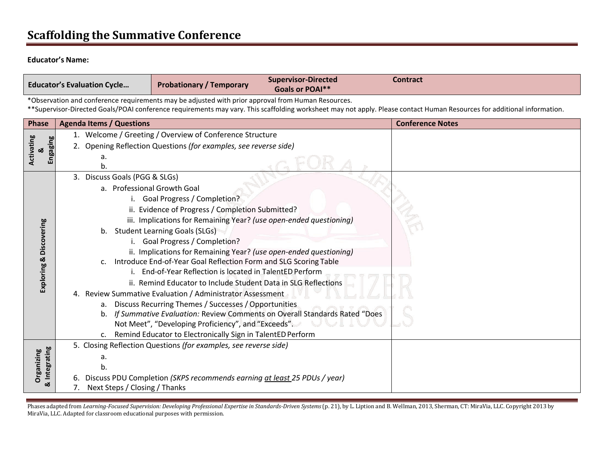# **Scaffolding the Summative Conference**

#### **Educator's Name:**

| <b>Educator's Evaluation Cycle</b>                                                                                                                                                                                                                                            |                                                                                   | <b>Probationary / Temporary</b>                                                                                                   | <b>Supervisor-Directed</b><br><b>Goals or POAI**</b>                      | <b>Contract</b> |  |  |
|-------------------------------------------------------------------------------------------------------------------------------------------------------------------------------------------------------------------------------------------------------------------------------|-----------------------------------------------------------------------------------|-----------------------------------------------------------------------------------------------------------------------------------|---------------------------------------------------------------------------|-----------------|--|--|
| *Observation and conference requirements may be adjusted with prior approval from Human Resources.<br>**Supervisor-Directed Goals/POAI conference requirements may vary. This scaffolding worksheet may not apply. Please contact Human Resources for additional information. |                                                                                   |                                                                                                                                   |                                                                           |                 |  |  |
| Phase                                                                                                                                                                                                                                                                         | <b>Agenda Items / Questions</b>                                                   |                                                                                                                                   | <b>Conference Notes</b>                                                   |                 |  |  |
| Activating<br>Engaging<br>න්                                                                                                                                                                                                                                                  | 1. Welcome / Greeting / Overview of Conference Structure                          |                                                                                                                                   |                                                                           |                 |  |  |
|                                                                                                                                                                                                                                                                               | 2. Opening Reflection Questions (for examples, see reverse side)                  |                                                                                                                                   |                                                                           |                 |  |  |
|                                                                                                                                                                                                                                                                               | а.<br>b.                                                                          |                                                                                                                                   |                                                                           |                 |  |  |
|                                                                                                                                                                                                                                                                               | 3. Discuss Goals (PGG & SLGs)                                                     |                                                                                                                                   |                                                                           |                 |  |  |
|                                                                                                                                                                                                                                                                               | a. Professional Growth Goal                                                       |                                                                                                                                   |                                                                           |                 |  |  |
|                                                                                                                                                                                                                                                                               |                                                                                   | <b>Goal Progress / Completion?</b>                                                                                                |                                                                           |                 |  |  |
|                                                                                                                                                                                                                                                                               |                                                                                   | ii. Evidence of Progress / Completion Submitted?                                                                                  |                                                                           |                 |  |  |
|                                                                                                                                                                                                                                                                               | iii. Implications for Remaining Year? (use open-ended questioning)                |                                                                                                                                   |                                                                           |                 |  |  |
|                                                                                                                                                                                                                                                                               | b. Student Learning Goals (SLGs)                                                  |                                                                                                                                   |                                                                           |                 |  |  |
|                                                                                                                                                                                                                                                                               | <b>Goal Progress / Completion?</b>                                                |                                                                                                                                   |                                                                           |                 |  |  |
|                                                                                                                                                                                                                                                                               |                                                                                   | ii. Implications for Remaining Year? (use open-ended questioning)                                                                 |                                                                           |                 |  |  |
| Exploring & Discovering                                                                                                                                                                                                                                                       | C.                                                                                | Introduce End-of-Year Goal Reflection Form and SLG Scoring Table                                                                  |                                                                           |                 |  |  |
|                                                                                                                                                                                                                                                                               |                                                                                   | End-of-Year Reflection is located in TalentED Perform                                                                             |                                                                           |                 |  |  |
|                                                                                                                                                                                                                                                                               |                                                                                   | ii. Remind Educator to Include Student Data in SLG Reflections                                                                    |                                                                           |                 |  |  |
|                                                                                                                                                                                                                                                                               | 4. Review Summative Evaluation / Administrator Assessment                         |                                                                                                                                   |                                                                           |                 |  |  |
|                                                                                                                                                                                                                                                                               |                                                                                   | a. Discuss Recurring Themes / Successes / Opportunities                                                                           |                                                                           |                 |  |  |
|                                                                                                                                                                                                                                                                               | b.                                                                                |                                                                                                                                   | If Summative Evaluation: Review Comments on Overall Standards Rated "Does |                 |  |  |
|                                                                                                                                                                                                                                                                               |                                                                                   | Not Meet", "Developing Proficiency", and "Exceeds".                                                                               |                                                                           |                 |  |  |
|                                                                                                                                                                                                                                                                               |                                                                                   | c. Remind Educator to Electronically Sign in TalentED Perform<br>5. Closing Reflection Questions (for examples, see reverse side) |                                                                           |                 |  |  |
|                                                                                                                                                                                                                                                                               |                                                                                   |                                                                                                                                   |                                                                           |                 |  |  |
| & Integrating<br>Organizing                                                                                                                                                                                                                                                   | a.                                                                                |                                                                                                                                   |                                                                           |                 |  |  |
|                                                                                                                                                                                                                                                                               | b.<br>6. Discuss PDU Completion (SKPS recommends earning at least 25 PDUs / year) |                                                                                                                                   |                                                                           |                 |  |  |
|                                                                                                                                                                                                                                                                               | Next Steps / Closing / Thanks                                                     |                                                                                                                                   |                                                                           |                 |  |  |

Phases adapted from Learning-Focused Supervision: Developing Professional Expertise in Standards-Driven Systems (p. 21), by L. Liption and B. Wellman, 2013, Sherman, CT: MiraVia, LLC. Copyright 2013 by MiraVia, LLC. Adapted for classroom educational purposes with permission.